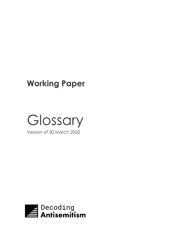## **Working Paper**



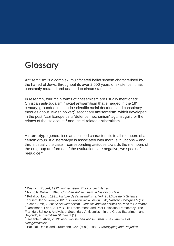## **Glossary**

Antisemitism is a complex, multifaceted belief system characterised by the hatred of Jews; throughout its over 2,000 years of existence, it has constantly mutated and adapted to circumstances.<sup>1</sup>

In research, four main forms of antisemitism are usually mentioned: Christian anti-Judaism;<sup>2</sup> racial antisemitism that emerged in the 19<sup>th</sup> century, grounded in pseudo-scientific racial doctrines and conspiracy theories about Jewish power;<sup>3</sup> secondary antisemitism, which developed in the post-Nazi Europe as a "defence mechanism" against guilt for the crimes of the Holocaust;<sup>4</sup> and Israel-related antisemitism.<sup>5</sup>

A **stereotype** generalises an ascribed characteristic to all members of a certain group. If a stereotype is associated with moral evaluations – and this is usually the case – corresponding attitudes towards the members of the outgroup are formed. If the evaluations are negative, we speak of prejudice.<sup>6</sup>

<sup>1</sup> Wistrich, Robert, 1992: *Antisemitism: The Longest Hatred.*

<sup>2</sup> Nicholls, William, 1993: *Christian Antisemitism. A History of Hate.*

<sup>3</sup> Poliakov, Leon, 1991: *Histoire de l'antisemitisme. Vol. 2 : L'Âge de la Science*; Taguieff, Jean-Pierre, 2002: "L'invention racialiste du Juif", *Raisons Politiques* 5 (1); Teicher, Amir, 2020: *Social Mendelism. Genetics and the Politics of Race in Germany.*

<sup>4</sup> Rensmann, Lens, 2017: "Guilt, Resentment, and Post-Holocaust Democracy: The Frankfurt School's Analysis of Secondary Antisemitism in the Group Experiment and Beyond", *Antisemitism Studies* 1 (1).

<sup>5</sup> Rosenfeld, Alvin, 2019: *Anti-Zionism and Antisemitism. The Dynamics of Delegitimization.*

<sup>6</sup> Bar-Tal, Daniel and Graumann, Carl (et al.), 1989: *Stereotyping and Prejudice.*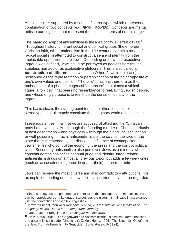Antisemitism is supported by a series of stereotypes, which represent a combination of two concepts (e.g. JEWS + POWER).<sup>7</sup> Concepts are mental units in our cognition that represent the basic elements of our thinking.<sup>8</sup>

The **basic concept** of antisemitism is the idea of JEWS AS THE OTHER. 9 Throughout history, different social and political groups (the emergent Christian faith, ethno-nationalism in the 19<sup>th</sup> century, certain strands of radical socialism) attempted to construct a sense of identity from the implacable opposition to the Jews. Depending on how the respective ingroup was defined, Jews could be portrayed as godless heretics, as stateless nomads or as exploitative plutocrats. This is also called a **construction of difference**, in which the Other (Jews in this case) is positioned as the representation or personification of the polar opposite of one's own values and position. "The Jew" functions therefore as the embodiment of a phantasmagorical "otherness"– an almost mythical figure, a folk devil that bears no resemblance to real, living Jewish people, and whose only purpose is to reinforce the sense of identity of the ingroup.<sup>10</sup>

This basic idea is the starting point for all the other concepts or stereotypes that ultimately constitute the imaginary world of antisemitism.

In religious antisemitism, Jews are accused of attacking the "Christian" body both symbolically – through the founding murder of Christ and rituals of host desecration – and physically – through the blood libel accusation or well-poisoning. In racial antisemitism, it is the *ethnos,* the race or the state that is threatened by the dissolving influence of cosmopolitan Jewish elites who control the economy, the press and the corrupt political class. Secondary antisemitism also perceives Jews as a minority whose constant admonition stifles national pride and identity. Israel-related antisemitism draws on almost all previous topoi, but adds a few new ones (such as accusations of genocide or apartheid) to the repertoire.

Jews can receive the most diverse and also contradictory attributions. For example, depending on one's own political position, they can be regarded

<sup>&</sup>lt;sup>7</sup> Since stereotypes are phenomena that exist on the conceptual, i.e. mental, level and can be reproduced using language, stereotypes are given in small caps in accordance with the conventions of cognitive linguistics.

<sup>8</sup> Schwarz-Friesel, Monika & Reinharz, Jehuda, 2017: *Inside the Antisemitic Mind: The Language of Jew-Hatred in Contemporary Germany.*

<sup>9</sup> Lyotard, Jean François, 1990: *Heidegger and the Jews.*

<sup>10</sup> Holz, Klaus, 2005: "Die Gegenwart des Antisemitismus. Islamische, demokratische und antizionistische Judenfeindschaft"; Zukier, Henry, 1996: "The Essential 'Other' and the Jew: From Antisemitism to Genocide", *Social Research* 63 (4).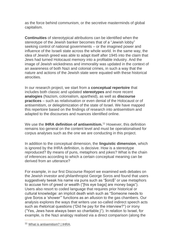as the force behind communism, or the secretive masterminds of global capitalism.

**Continuities** of stereotypical attributions can be identified when the stereotype of the Jewish banker becomes that of a "Jewish lobby" seeking control of national governments – or the imagined power and influence of the Israeli state across the whole world. In the same way, the idea of Jewish greed was able to adapt itself after 1945 into the claim that Jews had turned Holocaust memory into a profitable industry. And the image of Jewish wickedness and immorality was updated in the context of an awareness of both Nazi and colonial crimes, in such a way that the nature and actions of the Jewish state were equated with these historical atrocities.

In our research project, we start from a **conceptual repertoire** that includes both classic and updated **stereotypes** and more recent **analogies** (Nazism, colonialism, apartheid), as well as **discourse practices** – such as relativisation or even denial of the Holocaust or of antisemitism, or delegitimization of the state of Israel. We have mapped this repertoire based on the findings of research into antisemitism and adapted to the discourses and nuances identified online.

We use the **IHRA definition of antisemitism.**<sup>11</sup> However, this definition remains too general on the content level and must be operationalised for corpus analyses such as the one we are conducting in this project.

In addition to the conceptual dimension, the **linguistic dimension**, which is ignored by the IHRA definition, is decisive. How is a stereotype reproduced? By means of puns, metaphors and jokes? What is the chain of inferences according to which a certain conceptual meaning can be derived from an utterance?

For example, in our first Discourse Report we examined web debates on the Jewish investor and philanthropist George Soros and found that users suggestively tweak his name via puns such as "\$oro\$" or use metaphors to accuse him of greed or wealth ("[his eye bags] are money bags"). Users also resort to coded language that requires prior historical or cultural knowledge: an implicit death wish such as "Someone needs to give Soros a 'shower'" functions as an allusion to the gas chambers. Our analysis explores the ways that writers use so-called indirect speech acts such as rhetorical questions ("Did he pay for the interview?") or irony ("Yes, Jews have always been so charitable;)"). In relation to Israel, for example, is the Nazi analogy realised via a direct comparison (along the

<sup>11</sup> [What is antisemitism? | IHRA.](https://holocaustremembrance.com/resources/working-definitions-charters/working-definition-antisemitism)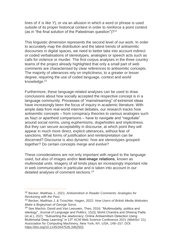lines of *X is like Y*), or via an allusion in which a word or phrase is used outside of its proper historical context in order to reinforce a point context (as in "the final solution of the Palestinian question")?<sup>12</sup>

This linguistic dimension represents the second level of our work. In order to accurately map the distribution and the latest trends of antisemitic discourses in digital spaces, we need to better take into account indirect or coded verbalisations of stereotypes, analogies or speech acts such as calls for violence or murder. The first corpus analyses in the three country teams of the project already highlighted that only a small part of web comments are characterised by clear references to antisemitic concepts. The majority of utterances rely on implicitness, to a greater or lesser degree, requiring the use of coded language, context and world knowledge.<sup>13</sup>

Furthermore, these language-related analyses can be used to draw conclusions about how socially accepted the respective concept is in a language community. Processes of "mainstreaming" of extremist ideas have increasingly been the focus of inquiry in academic literature. With ample data from real-world internet debates, our research tracks how antisemitic concepts – from conspiracy theories to various analogies such as Nazi or apartheid comparisons – have to navigate and "negotiate" around social norms, using euphemisms, dogwhistles and implicitness. But they can secure acceptability in discourse, at which point they will appear in much more direct, explicit utterances, without fear of sanctions. What forms of justification and reinterpretation can be discerned? Discourse is also dynamic: how are stereotypes grouped together? Do certain concepts merge and evolve?

These considerations are not only important with regard to the language used, but also of images and/or **text-image relations**, known as multimodal units. Imagery of all kinds plays an increasingly important role in web communication in particular and is taken into account in our detailed analyses of comment sections.<sup>14</sup>

<sup>12</sup> Becker, Matthias J., 2021: *Antisemitism in Reader Comments: Analogies for Reckoning with the Past.*

<sup>13</sup> Becker, Matthias J. & Troschke, Hagen, 2022: *How Users of British Media Websites Make a Bogeyman of George Soros.*

<sup>&</sup>lt;sup>14</sup> See Machin, David and Van Leeuwen, Theo, 2016: "Multimodality, politics and ideology", *Journal of Language and Politics*, 15(3); Mohit Chandra and Dheeraj Pailla (et al.), 2021: "Subverting the Jewtocracy: Online Antisemitism Detection Using Multimodal Deep Learning" in 13<sup>th</sup> ACM Web Science Conference 2021 (WebSci '21). Association for Computing Machinery, New York, NY, USA, 148–157. DOI: [https://doi.org/10.1145/3447535.3462502.](https://doi.org/10.1145/3447535.3462502)